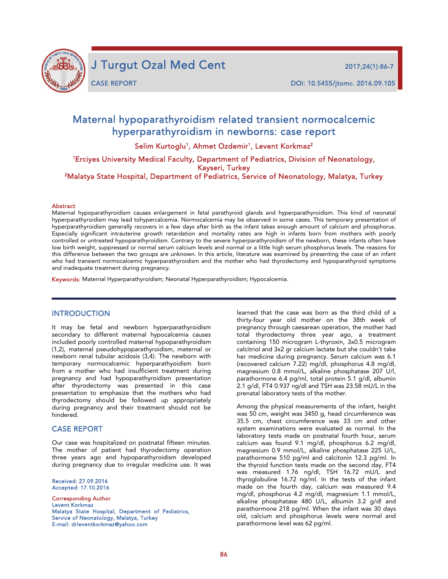

J Turgut Ozal Med Cent 2017;24(1):86-7

j

CASE REPORT DOI: 10.5455/jtomc. 2016.09.105

# Maternal hypoparathyroidism related transient normocalcemic hyperparathyroidism in newborns: case report

Selim Kurtoglu<sup>1</sup>, Ahmet Ozdemir<sup>1</sup>, Levent Korkmaz<sup>2</sup>

1 Erciyes University Medical Faculty, Department of Pediatrics, Division of Neonatology,

Kayseri, Turkey<br>Malatya State Hospital, Department of Pediatrics, Service of Neonatology, Malatya, Turkey<sup>2</sup>

#### Abstract

Maternal hypoparathyroidism causes enlargement in fetal parathyroid glands and hyperparathyroidism. This kind of neonatal hyperparathyroidism may lead tohypercalcemia. Normocalcemia may be observed in some cases. This temporary presentation of hyperparathyroidism generally recovers in a few days after birth as the infant takes enough amount of calcium and phosphorus. Especially significant intrauterine growth retardation and mortality rates are high in infants born from mothers with poorly controlled or untreated hypoparathyroidism. Contrary to the severe hyperparathyroidism of the newborn, these infants often have low birth weight, suppressed or normal serum calcium levels and normal or a little high serum phosphorus levels. The reasons for this difference between the two groups are unknown. In this article, literature was examined by presenting the case of an infant who had transient normocalcemic hyperparathyroidism and the mother who had thyrodectomy and hypoparathyroid symptoms and inadequate treatment during pregnancy.

Keywords: Maternal Hyperparathyroidism; Neonatal Hyperparathyroidism; Hypocalcemia.

#### INTRODUCTION

It may be fetal and newborn hyperparathyroidism secondary to different maternal hypocalcemia causes included poorly controlled maternal hypoparathyroidism (1,2), maternal pseudohypoparathyroidism, maternal or newborn renal tubular acidosis (3,4). The newborn with temporary normocalcemic hyperparathyoidism born from a mother who had insufficient treatment during pregnancy and had hypoparathyroidism presentation after thyrodectomy was presented in this case presentation to emphasize that the mothers who had thyrodectomy should be followed up appropriately during pregnancy and their treatment should not be hindered.

#### CASE REPORT

Our case was hospitalized on postnatal fifteen minutes. The mother of patient had thyrodectomy operation three years ago and hypoparathyroidism developed during pregnancy due to irregular medicine use. It was

Received: 27.09.2016 Accepted: 17.10.2016

Corresponding Author Levent Korkmaz Malatya State Hospital, Department of Pediatrics, Service of Neonatology, Malatya, Turkey E-mail: drleventkorkmaz@yahoo.com

learned that the case was born as the third child of a thirty-four year old mother on the 38th week of pregnancy through caesarean operation, the mother had total thyrodectomy three year ago, a treatment containing 150 microgram L-thyroxin, 3x0.5 microgram calcitriol and 3x2 gr calcium lactate but she couldn't take her medicine during pregnancy. Serum calcium was 6.1 (recovered calcium 7.22) mg/dl, phosphorus 4.8 mg/dl, magnesium 0.8 mmol/L, alkaline phosphatase 207 U/l, parathormone 6.4 pg/ml, total protein 5.1 g/dl, albumin 2.1 g/dl, FT4 0.937 ng/dl and TSH was 23.58 mU/L in the prenatal laboratory tests of the mother.

Among the physical measurements of the infant, height was 50 cm, weight was 3450 g, head circumference was 35.5 cm, chest circumference was 33 cm and other system examinations were evaluated as normal. In the laboratory tests made on postnatal fourth hour, serum calcium was found 9.1 mg/dl, phosphorus 6.2 mg/dl, magnesium 0.9 mmol/L, alkaline phosphatase 225 U/L, parathormone 510 pg/ml and calcitonin 12.3 pg/ml. In the thyroid function tests made on the second day, FT4 was measured 1.76 ng/dl, TSH 16.72 mU/L and thyroglobuline 16.72 ng/ml. In the tests of the infant made on the fourth day, calcium was measured 9.4 mg/dl, phosphorus 4.2 mg/dl, magnesium 1.1 mmol/L, alkaline phosphatase 480 U/L, albumin 3.2 g/dl and parathormone 218 pg/ml. When the infant was 30 days old, calcium and phosphorus levels were normal and parathormone level was 62 pg/ml.